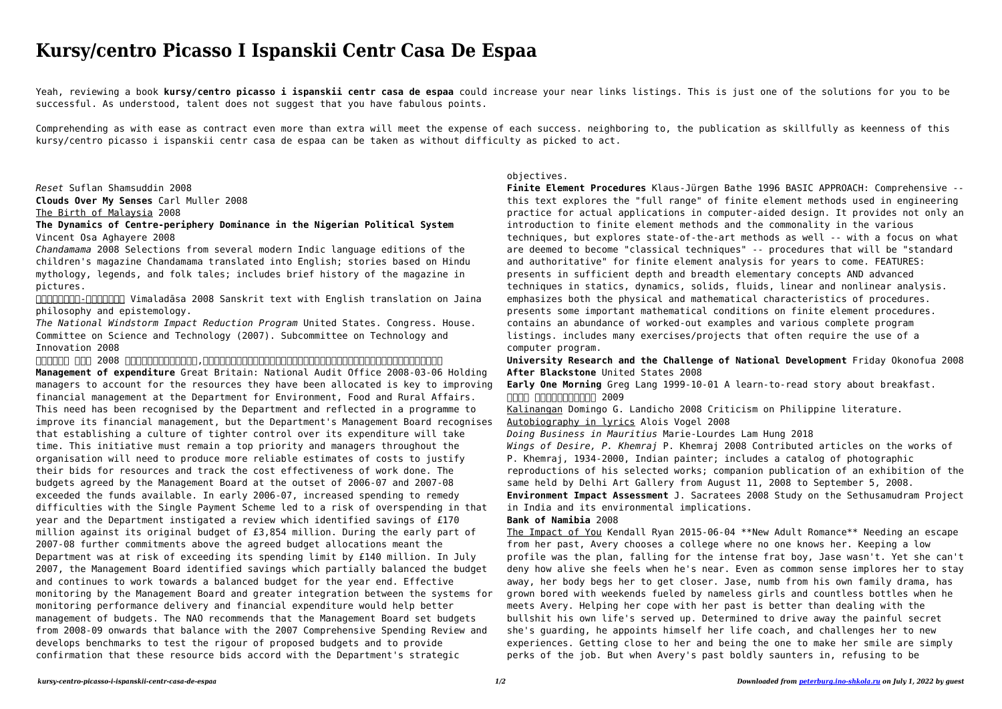## **Kursy/centro Picasso I Ispanskii Centr Casa De Espaa**

Yeah, reviewing a book **kursy/centro picasso i ispanskii centr casa de espaa** could increase your near links listings. This is just one of the solutions for you to be successful. As understood, talent does not suggest that you have fabulous points.

Comprehending as with ease as contract even more than extra will meet the expense of each success. neighboring to, the publication as skillfully as keenness of this kursy/centro picasso i ispanskii centr casa de espaa can be taken as without difficulty as picked to act.

ENTHEN-CHING IN Vimaladāsa 2008 Sanskrit text with English translation on Jaina philosophy and epistemology.

*Reset* Suflan Shamsuddin 2008 **Clouds Over My Senses** Carl Muller 2008 The Birth of Malaysia 2008

**The Dynamics of Centre-periphery Dominance in the Nigerian Political System** Vincent Osa Aghayere 2008

*Chandamama* 2008 Selections from several modern Indic language editions of the children's magazine Chandamama translated into English; stories based on Hindu mythology, legends, and folk tales; includes brief history of the magazine in pictures.

*The National Windstorm Impact Reduction Program* United States. Congress. House. Committee on Science and Technology (2007). Subcommittee on Technology and Innovation 2008

*文明起源史话* 何长领 2008 本书讲述了文明的起源及发展,按时间顺序详细讲述了旧石器时代、新石器时代前期、新石器时代后期、中化文明成熟期等内容。 **Management of expenditure** Great Britain: National Audit Office 2008-03-06 Holding managers to account for the resources they have been allocated is key to improving financial management at the Department for Environment, Food and Rural Affairs. This need has been recognised by the Department and reflected in a programme to improve its financial management, but the Department's Management Board recognises that establishing a culture of tighter control over its expenditure will take time. This initiative must remain a top priority and managers throughout the organisation will need to produce more reliable estimates of costs to justify their bids for resources and track the cost effectiveness of work done. The budgets agreed by the Management Board at the outset of 2006-07 and 2007-08 exceeded the funds available. In early 2006-07, increased spending to remedy difficulties with the Single Payment Scheme led to a risk of overspending in that year and the Department instigated a review which identified savings of £170 million against its original budget of £3,854 million. During the early part of 2007-08 further commitments above the agreed budget allocations meant the Department was at risk of exceeding its spending limit by £140 million. In July 2007, the Management Board identified savings which partially balanced the budget and continues to work towards a balanced budget for the year end. Effective monitoring by the Management Board and greater integration between the systems for monitoring performance delivery and financial expenditure would help better management of budgets. The NAO recommends that the Management Board set budgets from 2008-09 onwards that balance with the 2007 Comprehensive Spending Review and develops benchmarks to test the rigour of proposed budgets and to provide confirmation that these resource bids accord with the Department's strategic

## objectives.

**Finite Element Procedures** Klaus-Jürgen Bathe 1996 BASIC APPROACH: Comprehensive - this text explores the "full range" of finite element methods used in engineering practice for actual applications in computer-aided design. It provides not only an introduction to finite element methods and the commonality in the various techniques, but explores state-of-the-art methods as well -- with a focus on what are deemed to become "classical techniques" -- procedures that will be "standard and authoritative" for finite element analysis for years to come. FEATURES: presents in sufficient depth and breadth elementary concepts AND advanced techniques in statics, dynamics, solids, fluids, linear and nonlinear analysis. emphasizes both the physical and mathematical characteristics of procedures. presents some important mathematical conditions on finite element procedures. contains an abundance of worked-out examples and various complete program listings. includes many exercises/projects that often require the use of a computer program.

**University Research and the Challenge of National Development** Friday Okonofua 2008 **After Blackstone** United States 2008

**Early One Morning** Greg Lang 1999-10-01 A learn-to-read story about breakfast. **长江史话** 《中华文明史话》编委会 2009

Kalinangan Domingo G. Landicho 2008 Criticism on Philippine literature. Autobiography in lyrics Alois Vogel 2008

*Doing Business in Mauritius* Marie-Lourdes Lam Hung 2018 *Wings of Desire, P. Khemraj* P. Khemraj 2008 Contributed articles on the works of P. Khemraj, 1934-2000, Indian painter; includes a catalog of photographic reproductions of his selected works; companion publication of an exhibition of the same held by Delhi Art Gallery from August 11, 2008 to September 5, 2008. **Environment Impact Assessment** J. Sacratees 2008 Study on the Sethusamudram Project in India and its environmental implications. **Bank of Namibia** 2008

The Impact of You Kendall Ryan 2015-06-04 \*\*New Adult Romance\*\* Needing an escape from her past, Avery chooses a college where no one knows her. Keeping a low profile was the plan, falling for the intense frat boy, Jase wasn't. Yet she can't deny how alive she feels when he's near. Even as common sense implores her to stay away, her body begs her to get closer. Jase, numb from his own family drama, has grown bored with weekends fueled by nameless girls and countless bottles when he meets Avery. Helping her cope with her past is better than dealing with the bullshit his own life's served up. Determined to drive away the painful secret she's guarding, he appoints himself her life coach, and challenges her to new experiences. Getting close to her and being the one to make her smile are simply perks of the job. But when Avery's past boldly saunters in, refusing to be